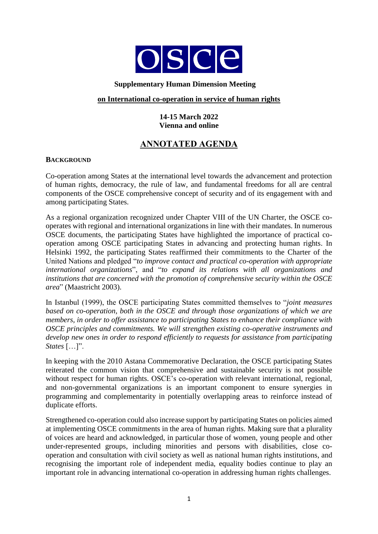

#### **Supplementary Human Dimension Meeting**

#### **on International co-operation in service of human rights**

### **14-15 March 2022 Vienna and online**

# **ANNOTATED AGENDA**

#### **BACKGROUND**

Co-operation among States at the international level towards the advancement and protection of human rights, democracy, the rule of law, and fundamental freedoms for all are central components of the OSCE comprehensive concept of security and of its engagement with and among participating States.

As a regional organization recognized under Chapter VIII of the UN Charter, the OSCE cooperates with regional and international organizations in line with their mandates. In numerous OSCE documents, the participating States have highlighted the importance of practical cooperation among OSCE participating States in advancing and protecting human rights. In Helsinki 1992, the participating States reaffirmed their commitments to the Charter of the United Nations and pledged "*to improve contact and practical co-operation with appropriate international organizations*", and "*to expand its relations with all organizations and institutions that are concerned with the promotion of comprehensive security within the OSCE area*" (Maastricht 2003).

In Istanbul (1999), the OSCE participating States committed themselves to "*joint measures based on co-operation, both in the OSCE and through those organizations of which we are members, in order to offer assistance to participating States to enhance their compliance with OSCE principles and commitments. We will strengthen existing co-operative instruments and develop new ones in order to respond efficiently to requests for assistance from participating States* […]".

In keeping with the 2010 Astana Commemorative Declaration, the OSCE participating States reiterated the common vision that comprehensive and sustainable security is not possible without respect for human rights. OSCE's co-operation with relevant international, regional, and non-governmental organizations is an important component to ensure synergies in programming and complementarity in potentially overlapping areas to reinforce instead of duplicate efforts.

Strengthened co-operation could also increase support by participating States on policies aimed at implementing OSCE commitments in the area of human rights. Making sure that a plurality of voices are heard and acknowledged, in particular those of women, young people and other under-represented groups, including minorities and persons with disabilities, close cooperation and consultation with civil society as well as national human rights institutions, and recognising the important role of independent media, equality bodies continue to play an important role in advancing international co-operation in addressing human rights challenges.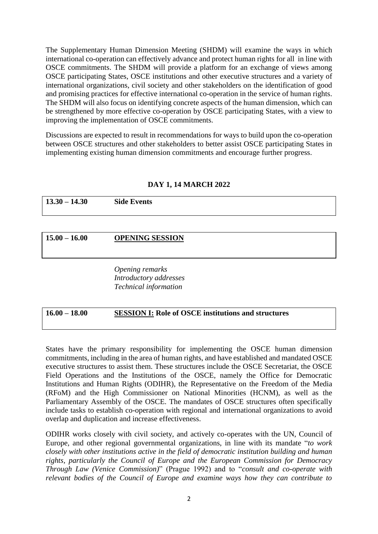The Supplementary Human Dimension Meeting (SHDM) will examine the ways in which international co-operation can effectively advance and protect human rights for all in line with OSCE commitments. The SHDM will provide a platform for an exchange of views among OSCE participating States, OSCE institutions and other executive structures and a variety of international organizations, civil society and other stakeholders on the identification of good and promising practices for effective international co-operation in the service of human rights. The SHDM will also focus on identifying concrete aspects of the human dimension, which can be strengthened by more effective co-operation by OSCE participating States, with a view to improving the implementation of OSCE commitments.

Discussions are expected to result in recommendations for ways to build upon the co-operation between OSCE structures and other stakeholders to better assist OSCE participating States in implementing existing human dimension commitments and encourage further progress.

#### **DAY 1, 14 MARCH 2022**

| $13.30 - 14.30$ | <b>Side Events</b>     |  |
|-----------------|------------------------|--|
|                 |                        |  |
| $15.00 - 16.00$ | <b>OPENING SESSION</b> |  |

*Opening remarks Introductory addresses Technical information*

# **16.00 – 18.00 SESSION I: Role of OSCE institutions and structures**

States have the primary responsibility for implementing the OSCE human dimension commitments, including in the area of human rights, and have established and mandated OSCE executive structures to assist them. These structures include the OSCE Secretariat, the OSCE Field Operations and the Institutions of the OSCE, namely the Office for Democratic Institutions and Human Rights (ODIHR), the Representative on the Freedom of the Media (RFoM) and the High Commissioner on National Minorities (HCNM), as well as the Parliamentary Assembly of the OSCE. The mandates of OSCE structures often specifically include tasks to establish co-operation with regional and international organizations to avoid overlap and duplication and increase effectiveness.

ODIHR works closely with civil society, and actively co-operates with the UN, Council of Europe, and other regional governmental organizations, in line with its mandate "*to work closely with other institutions active in the field of democratic institution building and human rights, particularly the Council of Europe and the European Commission for Democracy Through Law (Venice Commission)*" (Prague 1992) and to "*consult and co-operate with relevant bodies of the Council of Europe and examine ways how they can contribute to*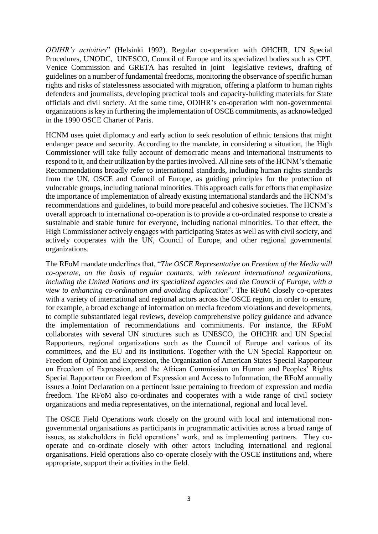*ODIHR's activities*" (Helsinki 1992). Regular co-operation with OHCHR, UN Special Procedures, UNODC, UNESCO, Council of Europe and its specialized bodies such as CPT, Venice Commission and GRETA has resulted in joint legislative reviews, drafting of guidelines on a number of fundamental freedoms, monitoring the observance of specific human rights and risks of statelessness associated with migration, offering a platform to human rights defenders and journalists, developing practical tools and capacity-building materials for State officials and civil society. At the same time, ODIHR's co-operation with non-governmental organizationsis key in furthering the implementation of OSCE commitments, as acknowledged in the 1990 OSCE Charter of Paris.

HCNM uses quiet diplomacy and early action to seek resolution of ethnic tensions that might endanger peace and security. According to the mandate, in considering a situation, the High Commissioner will take fully account of democratic means and international instruments to respond to it, and their utilization by the parties involved. All nine sets of the HCNM's thematic Recommendations broadly refer to international standards, including human rights standards from the UN, OSCE and Council of Europe, as guiding principles for the protection of vulnerable groups, including national minorities. This approach calls for efforts that emphasize the importance of implementation of already existing international standards and the HCNM's recommendations and guidelines, to build more peaceful and cohesive societies. The HCNM's overall approach to international co-operation is to provide a co-ordinated response to create a sustainable and stable future for everyone, including national minorities. To that effect, the High Commissioner actively engages with participating States as well as with civil society, and actively cooperates with the UN, Council of Europe, and other regional governmental organizations.

The RFoM mandate underlines that, "*The OSCE Representative on Freedom of the Media will co-operate, on the basis of regular contacts, with relevant international organizations, including the United Nations and its specialized agencies and the Council of Europe, with a view to enhancing co-ordination and avoiding duplication*". The RFoM closely co-operates with a variety of international and regional actors across the OSCE region, in order to ensure, for example, a broad exchange of information on media freedom violations and developments, to compile substantiated legal reviews, develop comprehensive policy guidance and advance the implementation of recommendations and commitments. For instance, the RFoM collaborates with several UN structures such as UNESCO, the OHCHR and UN Special Rapporteurs, regional organizations such as the Council of Europe and various of its committees, and the EU and its institutions. Together with the UN Special Rapporteur on Freedom of Opinion and Expression, the Organization of American States Special Rapporteur on Freedom of Expression, and the African Commission on Human and Peoples' Rights Special Rapporteur on Freedom of Expression and Access to Information, the RFoM annually issues a Joint Declaration on a pertinent issue pertaining to freedom of expression and media freedom. The RFoM also co-ordinates and cooperates with a wide range of civil society organizations and media representatives, on the international, regional and local level.

The OSCE Field Operations work closely on the ground with local and international nongovernmental organisations as participants in programmatic activities across a broad range of issues, as stakeholders in field operations' work, and as implementing partners. They cooperate and co-ordinate closely with other actors including international and regional organisations. Field operations also co-operate closely with the OSCE institutions and, where appropriate, support their activities in the field.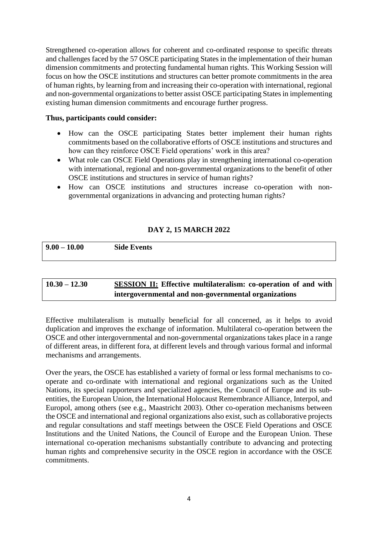Strengthened co-operation allows for coherent and co-ordinated response to specific threats and challenges faced by the 57 OSCE participating States in the implementation of their human dimension commitments and protecting fundamental human rights. This Working Session will focus on how the OSCE institutions and structures can better promote commitments in the area of human rights, by learning from and increasing their co-operation with international, regional and non-governmental organizations to better assist OSCE participating States in implementing existing human dimension commitments and encourage further progress.

### **Thus, participants could consider:**

- How can the OSCE participating States better implement their human rights commitments based on the collaborative efforts of OSCE institutions and structures and how can they reinforce OSCE Field operations' work in this area?
- What role can OSCE Field Operations play in strengthening international co-operation with international, regional and non-governmental organizations to the benefit of other OSCE institutions and structures in service of human rights?
- How can OSCE institutions and structures increase co-operation with nongovernmental organizations in advancing and protecting human rights?

# **DAY 2, 15 MARCH 2022**

| $9.00 -$<br>10.00 | <b>Side Events</b> |  |
|-------------------|--------------------|--|
|                   |                    |  |

# **10.30 – 12.30 SESSION II: Effective multilateralism: co-operation of and with intergovernmental and non-governmental organizations**

Effective multilateralism is mutually beneficial for all concerned, as it helps to avoid duplication and improves the exchange of information. Multilateral co-operation between the OSCE and other intergovernmental and non-governmental organizations takes place in a range of different areas, in different fora, at different levels and through various formal and informal mechanisms and arrangements.

Over the years, the OSCE has established a variety of formal or less formal mechanisms to cooperate and co-ordinate with international and regional organizations such as the United Nations, its special rapporteurs and specialized agencies, the Council of Europe and its subentities, the European Union, the International Holocaust Remembrance Alliance, Interpol, and Europol, among others (see e.g., Maastricht 2003). Other co-operation mechanisms between the OSCE and international and regional organizations also exist, such as collaborative projects and regular consultations and staff meetings between the OSCE Field Operations and OSCE Institutions and the United Nations, the Council of Europe and the European Union. These international co-operation mechanisms substantially contribute to advancing and protecting human rights and comprehensive security in the OSCE region in accordance with the OSCE commitments.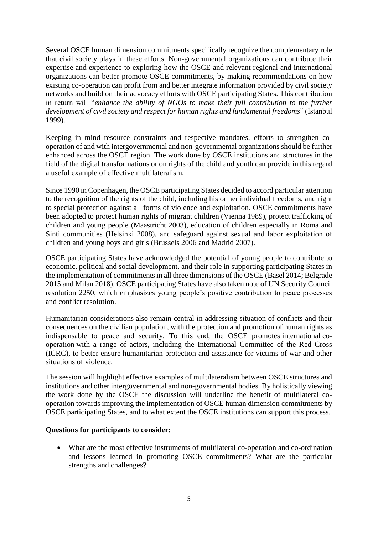Several OSCE human dimension commitments specifically recognize the complementary role that civil society plays in these efforts. Non-governmental organizations can contribute their expertise and experience to exploring how the OSCE and relevant regional and international organizations can better promote OSCE commitments, by making recommendations on how existing co-operation can profit from and better integrate information provided by civil society networks and build on their advocacy efforts with OSCE participating States. This contribution in return will "*enhance the ability of NGOs to make their full contribution to the further development of civil society and respect for human rights and fundamental freedoms*" (Istanbul 1999).

Keeping in mind resource constraints and respective mandates, efforts to strengthen cooperation of and with intergovernmental and non-governmental organizations should be further enhanced across the OSCE region. The work done by OSCE institutions and structures in the field of the digital transformations or on rights of the child and youth can provide in this regard a useful example of effective multilateralism.

Since 1990 in Copenhagen, the OSCE participating States decided to accord particular attention to the recognition of the rights of the child, including his or her individual freedoms, and right to special protection against all forms of violence and exploitation. OSCE commitments have been adopted to protect human rights of migrant children (Vienna 1989), protect trafficking of children and young people (Maastricht 2003), education of children especially in Roma and Sinti communities (Helsinki 2008), and safeguard against sexual and labor exploitation of children and young boys and girls (Brussels 2006 and Madrid 2007).

OSCE participating States have acknowledged the potential of young people to contribute to economic, political and social development, and their role in supporting participating States in the implementation of commitments in all three dimensions of the OSCE (Basel 2014; Belgrade 2015 and Milan 2018). OSCE participating States have also taken note of UN Security Council resolution 2250, which emphasizes young people's positive contribution to peace processes and conflict resolution.

Humanitarian considerations also remain central in addressing situation of conflicts and their consequences on the civilian population, with the protection and promotion of human rights as indispensable to peace and security. To this end, the OSCE promotes international cooperation with a range of actors, including the International Committee of the Red Cross (ICRC), to better ensure humanitarian protection and assistance for victims of war and other situations of violence.

The session will highlight effective examples of multilateralism between OSCE structures and institutions and other intergovernmental and non-governmental bodies. By holistically viewing the work done by the OSCE the discussion will underline the benefit of multilateral cooperation towards improving the implementation of OSCE human dimension commitments by OSCE participating States, and to what extent the OSCE institutions can support this process.

# **Questions for participants to consider:**

 What are the most effective instruments of multilateral co-operation and co-ordination and lessons learned in promoting OSCE commitments? What are the particular strengths and challenges?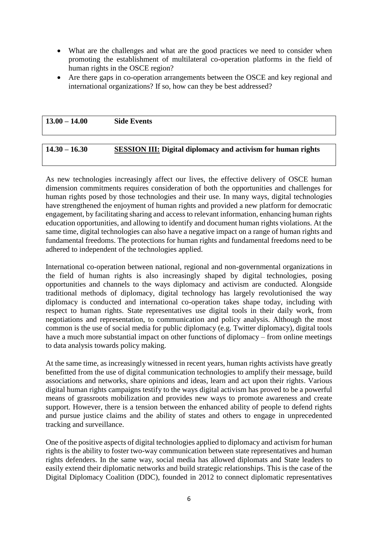- What are the challenges and what are the good practices we need to consider when promoting the establishment of multilateral co-operation platforms in the field of human rights in the OSCE region?
- Are there gaps in co-operation arrangements between the OSCE and key regional and international organizations? If so, how can they be best addressed?

| $13.00 - 14.00$ | <b>Side Events</b> |
|-----------------|--------------------|
|                 |                    |

# **14.30 – 16.30 SESSION III: Digital diplomacy and activism for human rights**

As new technologies increasingly affect our lives, the effective delivery of OSCE human dimension commitments requires consideration of both the opportunities and challenges for human rights posed by those technologies and their use. In many ways, digital technologies have strengthened the enjoyment of human rights and provided a new platform for democratic engagement, by facilitating sharing and access to relevant information, enhancing human rights education opportunities, and allowing to identify and document human rights violations. At the same time, digital technologies can also have a negative impact on a range of human rights and fundamental freedoms. The protections for human rights and fundamental freedoms need to be adhered to independent of the technologies applied.

International co-operation between national, regional and non-governmental organizations in the field of human rights is also increasingly shaped by digital technologies, posing opportunities and channels to the ways diplomacy and activism are conducted. Alongside traditional methods of diplomacy, digital technology has largely revolutionised the way diplomacy is conducted and international co-operation takes shape today, including with respect to human rights. State representatives use digital tools in their daily work, from negotiations and representation, to communication and policy analysis. Although the most common is the use of social media for public diplomacy (e.g. Twitter diplomacy), digital tools have a much more substantial impact on other functions of diplomacy – from online meetings to data analysis towards policy making.

At the same time, as increasingly witnessed in recent years, human rights activists have greatly benefitted from the use of digital communication technologies to amplify their message, build associations and networks, share opinions and ideas, learn and act upon their rights. Various digital human rights campaigns testify to the ways digital activism has proved to be a powerful means of grassroots mobilization and provides new ways to promote awareness and create support. However, there is a tension between the enhanced ability of people to defend rights and pursue justice claims and the ability of states and others to engage in unprecedented tracking and surveillance.

One of the positive aspects of digital technologies applied to diplomacy and activism for human rights is the ability to foster two-way communication between state representatives and human rights defenders. In the same way, social media has allowed diplomats and State leaders to easily extend their diplomatic networks and build strategic relationships. This is the case of the Digital Diplomacy Coalition (DDC), founded in 2012 to connect diplomatic representatives